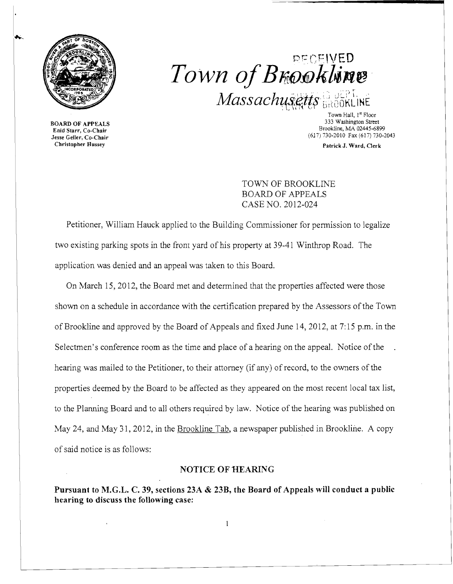



BOARD OF APPEALS Enid Starr, Co-Chair Jesse Geller, Co-Chair Christopher Hussey

Town Hall, 1<sup>st</sup> Floor 333 Washington Street Brookline, MA 02445-6899 (617) 730-2010 Fax (617) 730-2043

PatrickJ. Ward, Clerk

TOWN OF BROOKLINE BOARD OF APPEALS CASE NO. 2012-024

Petitioner, William Hauck applied to the Building Commissioner for pennission to legalize two existing parking spots in the from yard of his property at 39-41 Winthrop Road. The application was denied and an appeal was taken to this Board.

On March 15, 2012, the Board met and detennined that the properties affected were those shown on a schedule in accordance with the certification prepared by the Assessors of the Town of Brookline and approved by the Board of Appeals and fixed June 14,2012, at 7: 15 p.m. in the Selectmen's conference room as the time and place of a hearing on the appeal. Notice of the hearing was mailed to the Petitioner, to their attorney (if any) of record, to the owners of the properties deemed by the Board to be affected as they appeared on the most recent local tax list, to the Planning Board and to all others required by law. Notice of the hearing was published on May 24, and May 31,2012, in the Brookline Tab, a newspaper published in Brookline. A copy of said notice is as follows:

### NOTICE OF HEARING

Pursuant to M.G.L. C. 39, sections 23A & 23B, the Board of Appeals will conduct a public hearing to discuss the following case:

 $\mathbf{1}$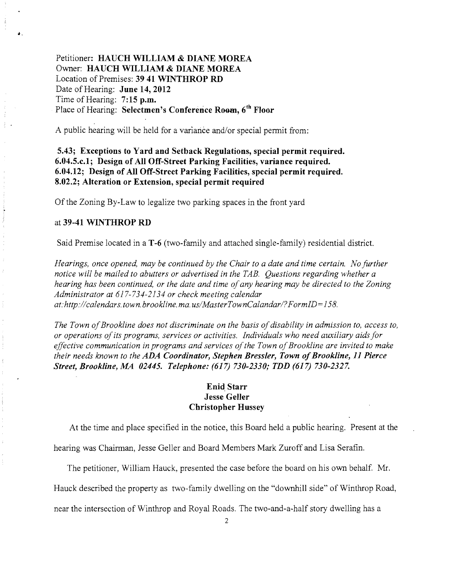Petitioner: HAUCH WILLIAM & DIANE MOREA Owner: HAUCH WILLIAM & DIANE MOREA Location of Premises: 3941 WINTHROP RD Date of Hearing: June 14, 2012 Time of Hearing: 7:15 p.m. Place of Hearing: Selectmen's Conference Room, 6<sup>th</sup> Floor

A public hearing will be held for a variance and/or special permit from:

# 5.43; Exceptions to Yard and Setback Regulations, special permit required. 6.04.5.c.1; Design of All Off-Street Parking Facilities, variance required. 6.04.12; Design of All Off-Street Parking Facilities, special permit required. 8.02.2; Alteration or Extension, special permit required

Of the Zoning By-Law to legalize two parking spaces in the front yard

#### at 39-41 WINTHROP RD

l.

Said Premise located in a T-6 (two-family and attached single-family) residential district.

*Hearings, once opened, may be continued by the Chair to a date and time certain. No further notice will be mailed to abutters or advertised in the TAB. Questions regarding whether a hearing has been continued, or the date and time ofany hearing may be directed to the Zoning Administrator at* 617-734-2134 *or check meeting calendar at:http://calendars. town. brookline. ma. uslMasterTownCalandarl?FormID= 158.* 

*The Town of Brookline does not discriminate on the basis of disability in admission to, access to, or operations ofits programs, services or activities. Individuals who need auxiliary aidsfor*  effective communication in programs and services of the Town of Brookline are invited to make *their needs known to the ADA Coordinator, Stephen Bressler, Town of Brookline, 11 Pierce Street, Brookline,* M4 *02445. Telephone:* (617) *730-2330; TDD* (617) *730-2327.* 

### Enid Starr **Jesse Geller** Christopher Hussey

At the time and place specified in the notice, this Board held a public hearing. Present at the hearing was Chairman, Jesse Geller and Board Members Mark Zuroff and Lisa Serafin.

The petitioner, William Hauck, presented the case before the board on his own behalf. Mr.

Hauck described the property as two-family dwelling on the "downhill side" of Winthrop Road,

near the intersection of Winthrop and Royal Roads. The two-and-a-half story dwelling has a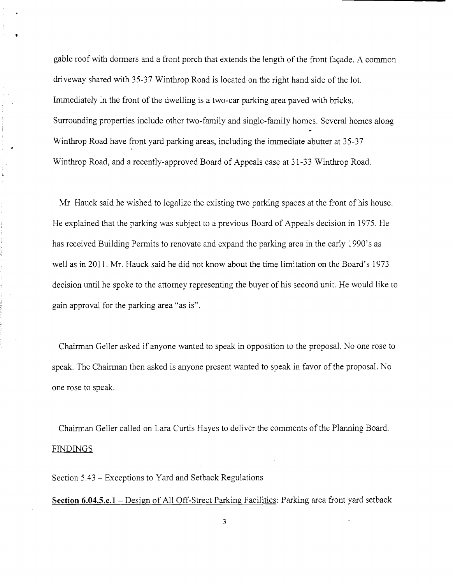gable roof with dormers and a front porch that extends the length of the front facade. A common driveway shared with 35-37 Winthrop Road is located on the right hand side of the lot. Immediately in the front of the dwelling is a two-car parking area paved with bricks. Surrounding properties include other two-family and single-family homes. Several homes along Winthrop Road have front yard parking areas, including the immediate abutter at 35-37 Winthrop Road, and a recently-approved Board of Appeals case at 31-33 Winthrop Road.

Mr. Hauck said he wished to legalize the existing two parking spaces at the front of his house. He explained that the parking was subject to a previous Board of Appeals decision in 1975. He has received Building Permits to renovate and expand the parking area in the early 1990's as well as in 2011. Mr. Hauck said he did not know about the time limitation on the Board's 1973 decision until he spoke to the attorney representing the buyer of his second unit. He would like to gain approval for the parking area "as is".

Chairman Geller asked if anyone wanted to speak in opposition to the proposal. No one rose to speak. The Chairman then asked is anyone present wanted to speak in favor of the proposal. No one rose to speak.

Chairman Geller called on Lara Curtis Hayes to deliver the comments of the Planning Board. **FINDINGS** 

Section 5.43 - Exceptions to Yard and Setback Regulations

**Section 6.04.5.c.l** - Design of All Off-Street Parking Facilities: Parking area front yard setback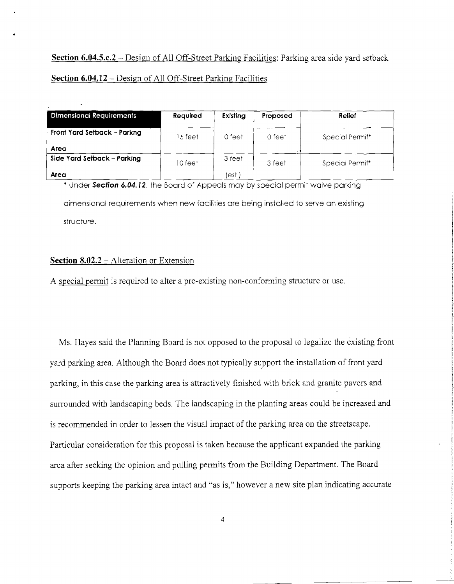**Section 6.04.5.c.2** - Design of All Off-Street Parking Facilities: Parking area side yard setback **Section 6.04.12** - Design of All Off-Street Parking Facilities

| <b>Dimensional Requirements</b> | Required | Existing | Proposed | Relief          |
|---------------------------------|----------|----------|----------|-----------------|
| Front Yard Setback - Parkng     | 15 feet  | 0 feet   | 0 feet   | Special Permit* |
| Area                            |          |          |          |                 |
| Side Yard Setback - Parking     | 10 feet  | 3 feet   | 3 feet   | Special Permit* |
| Area                            |          | (est.)   |          |                 |

" Under **Section 6.04.12,** the Board of Appeals may by special permit waive parking dimensional requirements when new facilities are being installed to serve an existing structure.

# **Section 8.02.2 -** Alteration or Extension

 $\mathbf{r}$ 

A special permit is required to alter a pre-existing non-conforming structure or use.

Ms. Hayes said the Plarming Board is not opposed to the proposal to legalize the existing front yard parking area. Although the Board does not typically support the installation of front yard parking, in this case the parking area is attractively finished with brick and granite pavers and surrounded with landscaping beds. The landscaping in the planting areas could be increased and is recommended in order to lessen the visual impact of the parking area on the streetscape. Particular consideration for this proposal is taken because the applicant expanded the parking area after seeking the opinion and pulling permits from the Building Department. The Board supports keeping the parking area intact and "as is," however a new site plan indicating accurate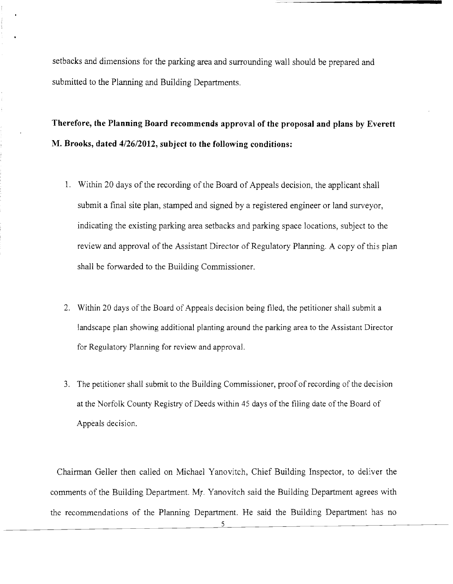setbacks and dimensions for the parking area and surrounding wall should be prepared and submitted to the Planning and Building Departments.

**Therefore, the Planning Board recommends approval of the proposal and plans by Everett M. Brooks, dated 4/26/2012, subject to the following conditions:** 

- 1. Within 20 days of the recording of the Board of Appeals decision, the applicant shall submit a final site plan, stamped and signed by a registered engineer or land surveyor, indicating the existing parking area setbacks and parking space locations, subject to the review and approval of the Assistant Director of Regulatory Planning. A copy of this plan shall be forwarded to the Building Commissioner.
- 2. Within 20 days of the Board of Appeals decision being filed, the petitioner shall submit a landscape plan showing additional planting around the parking area to the Assistant Director for Regulatory Planning for review and approval.
- 3. The petitioner shall submit to the Building Commissioner, proof of recording of the decision at the Norfolk County Registry of Deeds within 45 days of the filing date of the Board of Appeals decision.

Chairman Geller then called on Michael Yanovitch, Chief Building Inspector, to deliver the comments of the Building Department. Mr. Yanovitch said the Building Department agrees with the recommendations of the Planning Department. He said the Building Department has no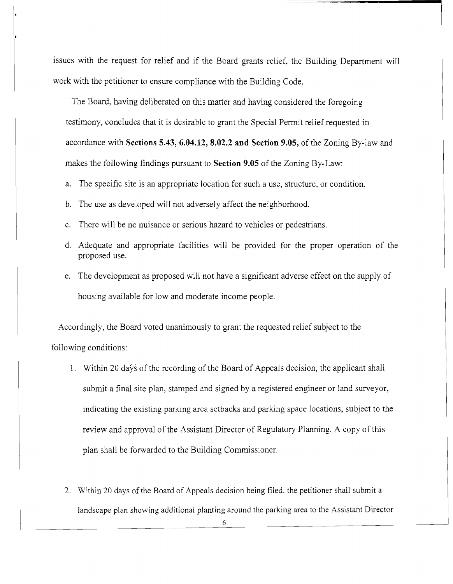issues with the request for relief and if the Board grants relief, the Building Department will work with the petitioner to ensure compliance with the Building Code.

The Board, having deliberated on this matter and having considered the foregoing testimony, concludes that it is desirable to grant the Special Permit relief requested in accordance with **Sections 5.43, 6.04.12, 8.02.2 and Section 9.05,** of the Zoning By-law and makes the following findings pursuant to **Section 9.05** of the Zoning By-Law:

- a. The specific site is an appropriate location for such a use, structure, or condition.
- b. The use as developed will not adversely affect the neighborhood.
- c. There will be no nuisance or serious hazard to vehicles or pedestrians.
- d. Adequate and appropriate facilities will be provided for the proper operation of the proposed use.
- e. The development as proposed will not have a significant adverse effect on the supply of housing available for low and moderate income people.

Accordingly, the Board voted unanimously to grant the requested relief subject to the following conditions:

- 1. Within 20 days of the recording of the Board of Appeals decision, the applicant shall submit a final site plan, stamped and signed by a registered engineer or land surveyor, indicating the existing parking area setbacks and parking space locations, subject to the review and approval of the Assistant Director of Regulatory Planning. A copy of this plan shall be forwarded to the Building Commissioner.
- 2. Within 20 days of the Board of Appeals decision being filed, the petitioner shall submit a landscape plan showing additional planting around the parking area to the Assistant Director